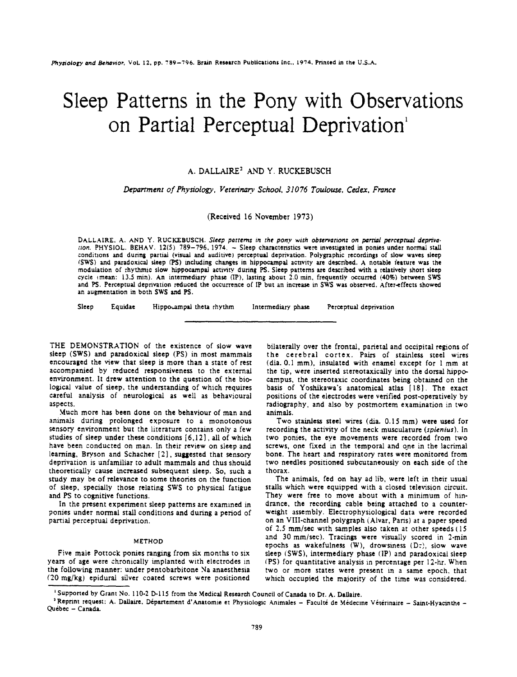# **Sleep Patterns in the Pony with Observations on Partial Perceptual Deprivation'**

## A. DALLAIRE<sup>2</sup> AND Y. RUCKEBUSCH

## *Department of Physiology, Vetenna~. School, 310 76 Toulouse, Cedex, France*

(Received 16 November 1973)

DALLAIRE, A. AND Y. RUCKEBUSCH. Sleep patterns in the pony with observations on partial perceptual deprivation. PHYSIOL. BEHAV. 12(5) 789-796, 1974. - Sleep characteristics were investigated in ponies under normal stall conditions and during partial (visual and auditive) perceptual deprivation. Polygraphic recordings of slow waves sleep (SWS) and paradoxical sleep ('PS) including changes in hippocampal acnvity are described. A notable feature was the modulation of :hythmic slow hippocampal activity during PS. Sleep patterns are described with a relatively short sleep cycle (mean: 13.5 min). An intermediary phase (IP), lasting about 2.0 min, frequently occurred (40%) between SWS and PS. Perceptual deprivation reduced the occurrence of IP but an increase in SWS was observed. After-effects showed an augmentation in both SWS and PS.

Sleep Equidae Hippo,ampal theta rhythm Intermediary phase Perceptual deprivation

THE DEMONSTRATION of the existence of slow wave sleep (SWS) and paradoxical sleep (PS) in most mammals encouraged the view that sleep is more than a state of rest accompanied by reduced responsiveness to the external environment. It drew attention to the question of the biological value of sleep, the understanding of which requires careful analysis of neurological as well as behavioural aspects.

Much more has been done on the behaviour of man and animals during prolonged exposure to a monotonous sensory environment but the literature contains only a few studies of sleep under these conditions  $[6,12]$ , all of which have been conducted on man. In their review on sleep and learning, Bryson and Schacher [2], suggested that sensory deprivation is unfamiliar to adult mammals and thus should theoretically cause increased subsequent sleep. So, such a study may be of relevance to some theories on the function of sleep, specially those relating SWS to physical fatigue and PS to cognitive functions.

In the present experiment sleep patterns are examined in ponies under normal stall conditions and during a period of partial perceptual deprivation.

#### **METHOD**

Five male Pottock ponies ranging from six months to six years of age were chronically implanted with electrodes in the following manner: under pentobarbitone Na anaesthesia (20 mg/kg) epidural silver coated screws were positioned

bilaterally over the frontal, parietal and occipital regions of the cerebral cortex. Pairs of stainless steel wires (dia. 0.1 mm), insulated with enamel except for 1 mm at the tip, were inserted stereotaxically into the dorsal hippocampus, the stereotaxic coordinates being obtained on the basis of Yoshikawa's anatomical atlas [18]. The exact positions of the electrodes were verified post-operatively by radiography, and also by postmortem examination in two animals.

Two stainless steel wires (dia. 0.15 mm) were used for recording the activity of the neck musculature *(splenius).* In two ponies, the eye movements were recorded from two screws, one fixed in the temporal and one in the lacrimal bone. The heart and respiratory rates were monitored from two needles positioned subcutaneously on each side of the thorax.

The animals, fed on hay ad lib, were left in their usual stalls which were equipped with a closed television circuit. They were free to move about with a minimum of hindrance, the recording cable being attached to a counterweight assembly. Electrophysiological data were recorded on an VIII-channel polygraph (Alvar, Pans) at a paper speed of 2.5 mm/sec with samples also taken at other speeds (15) and 30 mm/sec). Tracings were visually scored in 2-min epochs as wakefulness (W), drowsiness (Dr), slow wave sleep (SWS), intermediary phase (IP) and paradoxical sleep (PS) for quantitative analysis in percentage per 12-hr. When two or more states were present in a same epoch, that which occupied the majority of the time was considered.

<sup>2</sup> Reprint request: A. Dallaire. Département d'Anatomie et Physiologic Animales - Faculté de Médecine Vétérinaire - Saint-Hyacinthe -Québec - Canada.

t Supported by Grant No. 110-2 D-ll5 from the Medical Research Council of Canada to Dr. A. Dallaire.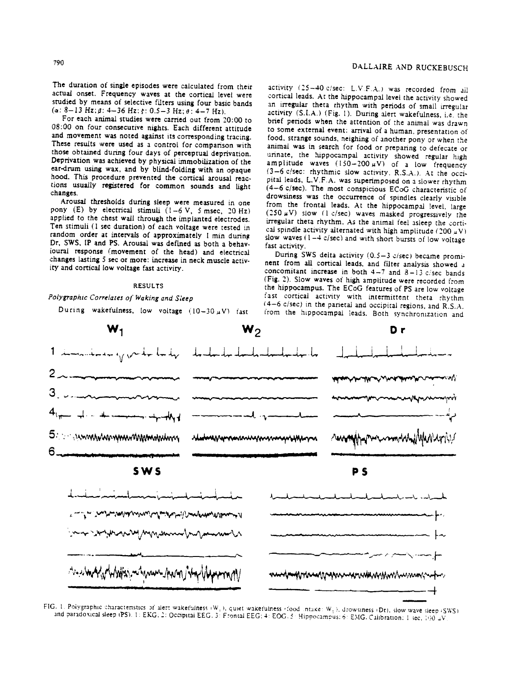The duration of single episodes were calculated from their actual onset. Frequency waves at the cortical level were studied by means of selective filters using four basic bands (a: 8-13 Hz;  $\beta$ : 4-36 Hz;  $\zeta$ : 0.5-3 Hz;  $\theta$ : 4-7 Hz).

For each animal studies were carried out from 20:00 to 08:00 on four consecutive nights. Each different attitude and movement was noted against its corresponding tracing. These results were used as a control for comparison with those obtained during four days of perceptual deprivation. Deprivation was achieved by physical immobilization of the ear-drum using wax, and by blind-folding with an opaque hood. This procedure prevented the cortical arousal reactions usually registered for common sounds and light changes.

Arousal thresholds during sleep were measured in one pony (E) by electrical stimuli  $(1-6 \text{ V}, 5 \text{ msec}, 20 \text{ Hz})$ applied to the chest wall through the implanted electrodes. Ten stimuli (I see duration) of each voltage were tested in random order at intervals of approximately I min during Dr, SWS, IF and PS. Arousal was defined as both a behavioural response (movement of the head) and electrical changes lasting 5 sec or more: increase in neck muscle activity and cortical low voltage fast activity.

#### RESULTS

*Polygraphtc Correlates of Waking and S~eep* 

During wakefulness, low voltage  $(10-30~\mu V)^{-1}$  fast

activity (25-40 c/sec: L.V.F.A.) was recorded from all cortical leads. At the hippocampal level the activity showed an irregular theta rhythm with periods of small irregular activity (S.I.A.) (Fig. I). During alert wakefulness, i.e. the brief periods when the attention of the animal was drawn to some external event: arrival of a human, presentation of food, strange sounds, neighing of another pony or when the ammal was in search for food or preparing to defecate or urinate, the hippocampal activity showed regular high amplitude waves  $(150-200 \,\mu\text{V})$  of a low frequency (3-6 c/sec: rhythmic slow activity. R.S.A.>. At the occipital leads, L,V.F.A. was superimposed on a slower rhythm (4-6 c/sec). The most conspicious ECoG characteristic of drowsiness was the occurrence of spindles clearly visible from the frontal leads. At the hippocampal !evel, large (250  $\mu$ V) slow (1 c/sec) waves masked progressively the irregular theta rhythm. As the animal feel asleep the cortical spindle activity alternated with high amplitude (200  $\mu$ V) slow waves  $(1-4 \text{ c/sec})$  and with short bursts of low voltage fast activity.

During SWS delta activity (0.5-3 c/sec) became prominent from all cortical leads, and filter analysis showed a concomitant increase in both  $4-7$  and  $8-13$  c/sec bands (Fig. 2). Slow waves of high amplitude were recorded from the hippocampus. The ECoG features of PS are low voltage fast cortical activity with intermittent theta rhythm  $(4-6 \text{ c/sec})$  in the parietal and occipital regions, and R.S.A. from the htppocampal leads. Both synchromzation and



FIG. 1. Poiygraphic charactenstics of alert wakefulness (W<sub>1</sub>), quiet wakefulness (food .ntake: W<sub>2</sub>), drowsiness (Dr), slow wave sleep (SWS) and paradoxical sleep (PS). 1: EKG; 2: Occipital EEG, 3: Frontal EEG: 4: EOG, 5: Hippocampus: 6: EMG. Calibration: I sec, 100 JV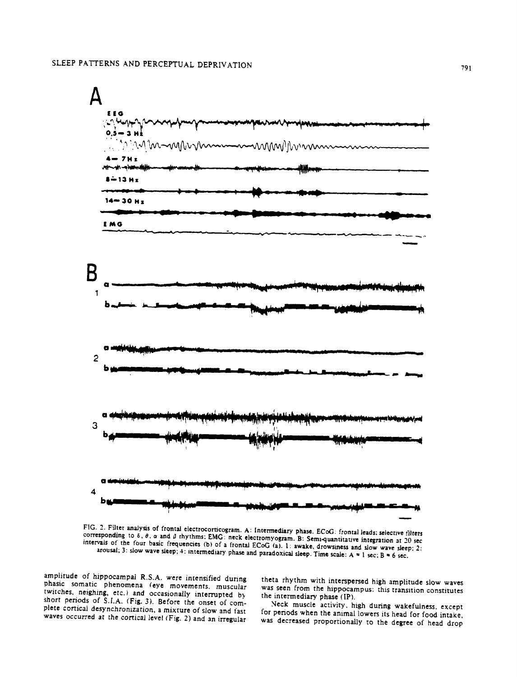

FIG. 2. Filter analysis of frontal electrocorricogram. A: Intermediary phase. ECoG: frontal leads: selective filters corresponding to 8, 8,  $\alpha$  and  $\beta$  rhythms: EMG: neck electromyogram. B: Semi-quantitative integration at 20 sec incervals or zhe four basic frequencies (b) of a frontal ECoG (a), I: awake, drowsiness and slow wave sleep; 2: arousal; 3: slow wave sleep; 4: intermediary phase and paradoxical sleep. Time scale: A = I sec; B • 6 see.

amplitude of hippocampal R.S.A. were intensified during phasic somatic phenomena (eye *movements,* muscular twitches, neighing, etc.) and occasionally interrupted by short periods of S.I.A, (Fig. 3). Before the onset of complete conical desynchronization, a mixture of slow and fast waves occurred at the cortical level (Fig. 2) and an irregular

theta rhythm with interspersed high amplitude slow waves was seen from the hippocampus: this transition constitutes the intermediary phase (IP).

Neck muscle activity, high during wakefulness, except for periods when the animal lowers its head for food intake, was decreased proportionally to the degree of head drop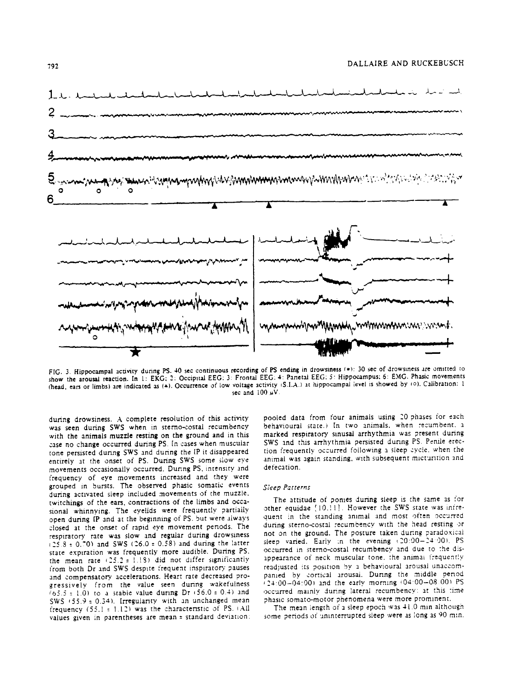

FIG. 3. Hippocampal activity during PS. 40 sec continuous recording of PS ending in drowsiness (\*): 30 sec of drowsiness are omitted to show the arousal reaction. In 1: EKG: 2: Occipital EEG: 3: Frontal EEC; 4: Panetal EEG; 5: Hippocampus: *6:* EMG. Phasic movements (head, ears or limbs) are indicated as ( $\blacktriangle$ ). Occurrence of low voltage activity (S.I.A.) at hippocampal ievel is showed by (0). Calibration: 1 sec and  $100 \mu V$ .

during drowsiness. A complete resolution of this activity was seen during SWS when in sterno-costal recumbency with the animals muzzle resting on the ground and in this case no change occurred during FS. [n cases when muscular tone persisted dunng SWS and during the [P it disappeared entirely at the onset of PS, During SWS some slow eye movements occasionally occurred. During PS, intensity and frequency of eye movements increased and they were grouped in bursts. The observed phasic somatic events during activated sleep included movements of the muzzle. twitchings of the ears, contractions of the limbs and occasional whinnying. The eyelids were frequently partially open during IP and at the beglnning of PS. but were aiways closed at the onset of rapid eye movement periods. The respiratory rate was slow and regular during drowsiness  $(25.8 \pm 0.70)$  and SWS (26.0  $\pm$  0.58) and during the latter state expiration was frequently more audible. During PS, the mean rate  $(25.2 \pm 1.18)$  did not differ significantly from both Dr and SWS despite frequent inspiratory pauses and compensatory accelerations. Heart rate decreased progressively from the value seen during wakefulness  $(65.5 \pm 1.0)$  to a stable value during Dr  $(56.0 \pm 0.4)$  and SWS  $(55.9 \pm 0.34)$ . Irregularity with an unchanged mean frequency  $(55.1 \pm 1.12)$  was the characteristic of PS.  $+AII$ values given in parentheses are mean = standard deviation: pooled data from four animals using 20 phases for each behavioural state.) In two animals, when recumbent, a marked respiratory sinusal arrhythmia was present during SWS and this arrhythmia persisted dunng PS. Penile erection frequently occurred following a sleep cycie, when the animal was again standing, with subsequent micturition and defecation.

#### Sleep Patterns

The attitude of ponies during sleep is the same as for other equidae [I0,!!]. However the SWS state was infrequent in the standing animal and most often occurred during sterno-costal recumbency with the head resting or not on the ground. The posture taken during paradoxical sleep varied. Early in the evening  $(20:00-24:00)$ . PS occurred in sterno-costal recumbency and due to :he disappearance of neck muscular tone, the animal frequently readjusted its position by a behavioural arousal unaccompanied by cortical arousai. During the middle penod  $(24:00-04:00)$  and the early morning  $(04:00-08:00)$  PS occurred mainly during lateral recumbency: at this time phasic somato-motor phenomena were more prominent.

The mean iength of a sleep epoch was 41.0 min although some periods of uninterrupted sleep were as long as 90 min.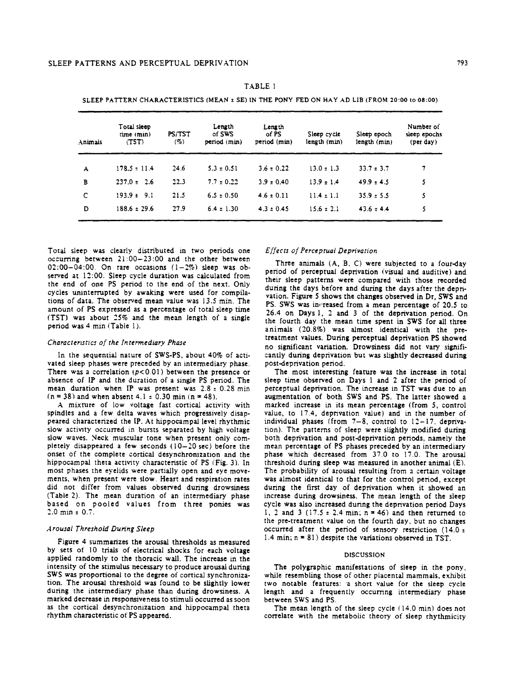## TABLE 1

SLEEP PATTERN CHARACTERISTICS (MEAN z SE) IN THE PONY FED ON HAY AD LIB (FROM 20:00 to 08:00)

| Animals | Total sleep<br>time (min)<br>(TST) | <b>PS/TST</b><br>$($ %) | Length<br>of SWS<br>period (min) | Length<br>of PS<br>period (min) | Sleep cycle<br>length (min) | Sleep epoch<br>length $(min)$ | Number of<br>sleep epochs<br>$(\text{per day})$ |
|---------|------------------------------------|-------------------------|----------------------------------|---------------------------------|-----------------------------|-------------------------------|-------------------------------------------------|
| A       | $178.5 \pm 11.4$                   | 24.6                    | $5.3 \pm 0.51$                   | $3.6 \pm 0.22$                  | $13.0 \pm 1.3$              | $33.7 \pm 3.7$                | 7                                               |
| B       | $237.0 \pm 2.6$                    | 22.3                    | $7.7 \pm 0.22$                   | $3.9 \pm 0.40$                  | $13.9 \pm 1.4$              | $49.9 \pm 4.5$                | 5                                               |
| c       | $193.9 \pm 9.1$                    | 21.5                    | $6.5 \pm 0.50$                   | $4.6 \pm 0.11$                  | $11.4 \pm 1.1$              | $35.9 \pm 5.5$                | 5                                               |
| D       | $188.6 \pm 29.6$                   | 27.9                    | $6.4 \pm 1.30$                   | $4.3 \pm 0.45$                  | $15.6 \pm 2.1$              | $43.6 \pm 4.4$                | s                                               |

Total sleep was clearly distributed in two periods one occurring between 21:00-23:00 and the other between  $02:00-04:00$ . On rare occasions  $(1-2\%)$  sleep was observed at 12:00. Sleep cycle duration was calculated from the end of one PS period to the end of the next. Only cycles uninterrupted by awaking were used for compilations of data. The observed mean value was 13.5 min. The amount of PS expressed as a percentage of total sleep time (TST) was about 25% and the mean length of a single period was 4 min (Table 1).

### *Characteristics of the Intermediary Phase*

In the sequential nature of SWS-PS, about 40% of activated sleep phases were preceded by an intermediary phase. There was a correlation  $(p<0.01)$  between the presence or absence of IP and the duration of a single PS period. The mean duration when IP was present was  $2.8 \pm 0.28$  min  $(n = 38)$  and when absent 4.1 = 0.30 min  $(n = 48)$ .

A mixture of low voltage fast cortical activity with spindles and a few delta waves which progressively disappeared characterized the IP. At hippocampal level rhythmic slow activity occurred in bursts separated by high voltage slow waves. Neck muscular tone when present only completely disappeared a few seconds  $(10-20 \text{ sec})$  before the onset of the complete cortical desynchronization and the hippocampal theta activity characteristic of PS (Fig. 3). In most phases the eyelids were partially open and eye movements, when present were slow. Heart and respiration rates did not differ from values observed during drowsiness (Table 2). The mean duration of an intermediary phase based on pooled values from three ponies was  $2.0 \text{ min} \pm 0.7$ .

## *Arousal Threshold During Sleep*

Figure 4 summarizes the arousal thresholds as measured by sets of 10 trials of electrical shocks for each voltage applied randomly to the thoracic wall. The increase in the intensity of the stimulus necessary to produce arousal during SWS was proportional to the degree of cortical synchronization. The arousal threshold was found to be slightly lower during the intermediary phase than during drowsiness. A marked decrease in responsiveness to stimuli occurred as soon as the cortical desynchronization and hippocampal theta rhythm characteristic of PS appeared.

## *Effects of Perceptual Deprivation*

Three animals  $(A, B, C)$  were subjected to a four-day period of perceptual deprivation (visual and auditive) and their sleep patterns were compared with those recorded during the days before and during the days after the deprivation. Figure 5 shows the changes observed in Dr, SWS and PS. SWS was increased from a mean percentage of 20.5 to 26.4 on Days l, 2 and 3 of the deprivation period. On the fourth day the mean time spent in SWS for all three animals (20.8%) was almost identical with the pretreatment values. During perceptual deprivation PS showed no significant variation. Drowsiness did not vary significantly during deprivation but was slightly decreased dunng post=deprivation period.

The most interesting feature was the increase in total sleep time observed on Days I and 2 after the period of perceptual deprivation. The increase in TST was due to an augmentation of both SWS and PS. The latter showed a marked increase in its mean percentage (from 5, control value, to 17.4, deprivation value) and in the number of individual phases (from  $7-8$ , control to  $12-17$ . deprivation). The patterns of sleep were slightly modified during both deprivation and post-deprivation periods, namely the mean percentage of PS phases preceded by an intermediary phase which decreased from 37.0 to 17.0. The arousal threshold during sleep was measured in another animal  $(E)$ . The probability of arousal resulting from a certain voltage was almost identical to that for the control period, except during the first day of deprivation when it showed an increase during drowsiness. The mean length of the sleep cycle was also increased during the deprivation period Days 1, 2 and 3 (17.5  $\pm$  2.4 min; n = 46) and then returned to the pre-treatment value on the fourth day, but no changes occurred after the period of sensory restriction  $(14.0 \pm 1)$ 1.4 min;  $n = 81$ ) despite the variations observed in TST.

#### DISCUSSION

The polygraphic manifestations of sleep in the pony, while resembling those of other placental mammals, exhibit two notable features: a short value for the sleep cycle length and a frequently occurring intermediary phase between SWS and PS.

The mean length of the sleep cycle (14.0 min) does not correlate with the metabolic theory of sleep rhythmicity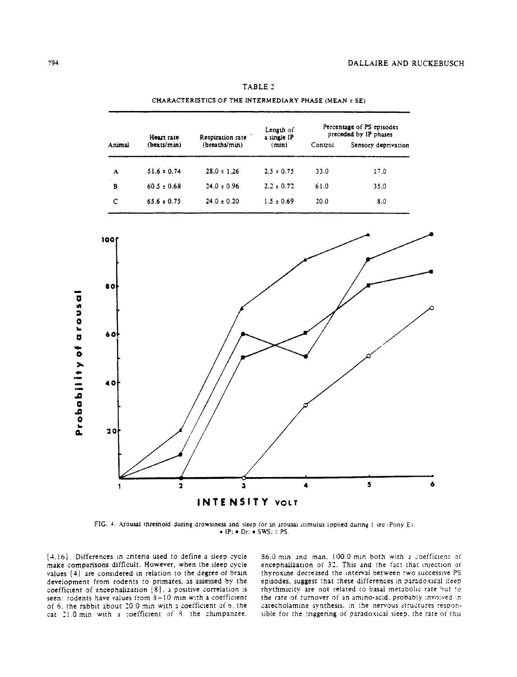| Percentage of PS episodes<br>preceded by IP phases |                     |
|----------------------------------------------------|---------------------|
| Control                                            | Sensory deprivation |
| 33.0                                               | 17.0                |
| 61.0                                               | 35.0                |
| 20.0                                               | 8.0                 |
|                                                    |                     |

CHARACTERISTICS OF THE INTERMEDIARY PHASE (MEAN = SE)

TABLE 2



FIG. 4. Arousal threshold during drowsiness and sleep for an arousal stimulus applied during 1 sec (Pony E).  $\triangle$  IP:  $\bullet$  Dr:  $\bullet$  SWS;  $\circ$  PS.

[4,16]. Differences in criteria used to define a sleep cycle make comparisons difficult. However, when the sleep cycle values [4] are considered in relation to the degree of brain development from rodents to primates, as assessed by the coefficient of encephalization [8], a positive correlation is seen: rodents have values from 3-10 min with a coefficient of 6, the rabbit about 20.0 min with a coefficient of 6, the cat 21.0 min with a coefficient of 8, the chimpanzee. 86.0 min and man, 100.0 min both with a coefficient of encephalization of 32. This and the fact that injection of thyroxine decreased the interval between two successive PS episodes, suggest that these differences in paradoxical sleep rhythmicity are not related to basal metabolic rate but to the rate of turnover of an amino-acid, probably involved in catecholamine synthesis, in the nervous structures responsible for the triggering of paradoxical sleep, the rate of this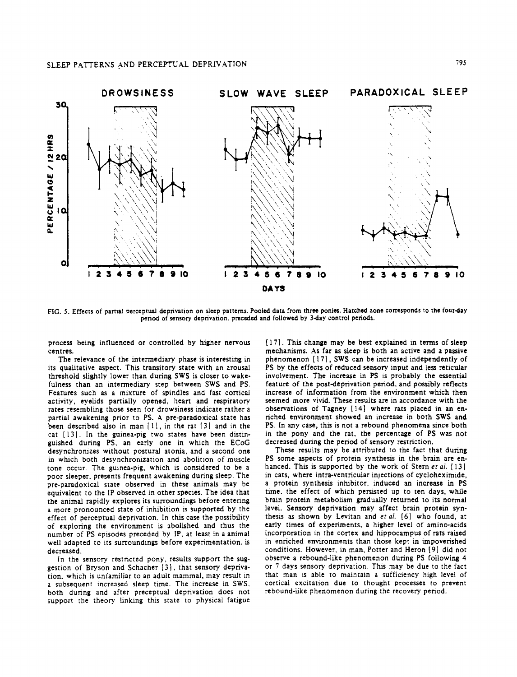

FIG. S. Effects of partial perceptual deprivation on sleep patterns. Pooled data from three ponies. Hatched zone corresponds to the four-day period of sensory deprivation, preceded and followed by 3-day control periods.

process being influenced or controlled by higher nervous centres.

The relevance of the intermediary phase is interesting in its qualitative aspect. This transitory state with an arousal threshold slightly lower than during SWS is closer to wakefulness than an intermediary step between SWS and PS. Features such as a mixture of spindles and fast cortical activity, eyelids partially opened, heart and respiratory rates resembling those seen for drowsiness indicate rather a partial awakemng prior to PS. A pre-paradoxical state has been described also in man [I], in the rat [3] and in the cat [13]. In the guinea-pig two states have been distinguished during PS, an early one in which the ECoG desynchronizes without postural atonia, and a second one in which both desynchronization and abolition of muscle tone occur. The guinea-pig, which is considered to be a poor sleeper, presents frequent awakening during sleep. The pre-paradoxical state observed in these animals may be equivalent to the IP observed in other species. The idea that the animal rapidly explores its surroundings before entering a more pronounced state of inhibition is supported by the effect of perceptual deprivation. In this case the possibility of exploring the environment is abolished and thus the number of PS episodes preceded by IP, at least in a animal well adapted to its surroundings before experimentation, is decreased.

In the sensory restricted pony, results support the suggestion of Bryson and Schacher [3], that sensory deprivation. which is unfamiliar to an adult mammal, may result in a subsequent increased sleep time. The increase in SWS, both during and after preceptual deprivation does not support the theory linking this state to physical fatigue [17]. This change may be best explained in terms of sleep mechanisms. As far as sleep is both an active and a passive phenomenon [I 7], SWS can be increased independently of PS by the effects of reduced sensory input and less reticular involvement. The increase in PS is probably the essential feature of the post-deprivation period, and possibly reflects increase of information from the environment which then seemed more vivid. These results are in accordance with the observations of Tagney [14] where rats placed in an enriched environment showed an increase in both SWS and PS. In any case, this is not a rebound phenomena since both in the pony and the rat, the percentage of PS was not decreased during the period of sensory restriction.

These results may be attributed to the fact that during PS some aspects of protein synthesis in the brain are enhanced. This is supported by the work of Stern *et al. [ 13 ]*  in cats, where intra-ventricular injections of cycloheximide, a protein synthesis inhibitor, induced an increase in PS time. the effect of which persisted up to ten days, while brain protein metabolism gradually returned to its normal level. Sensory deprivation may affect brain protein synthesis as shown by Levitan and *et aL* [6] who found, at early times of experiments, a higher level of amino-acids incorporation in the cortex and hippocampus of rats raised in enriched environments than those kept in impoverished conditions. However, in man, Potter and Heron [9] did not observe a rebound-like phenomenon during PS following 4 or 7 days sensory deprivation. This may be due to the fact that man is able to maintain a sufficiency high level of cortical excitation due to thought processes to prevent rebound-iike phenomenon during the recovery period.